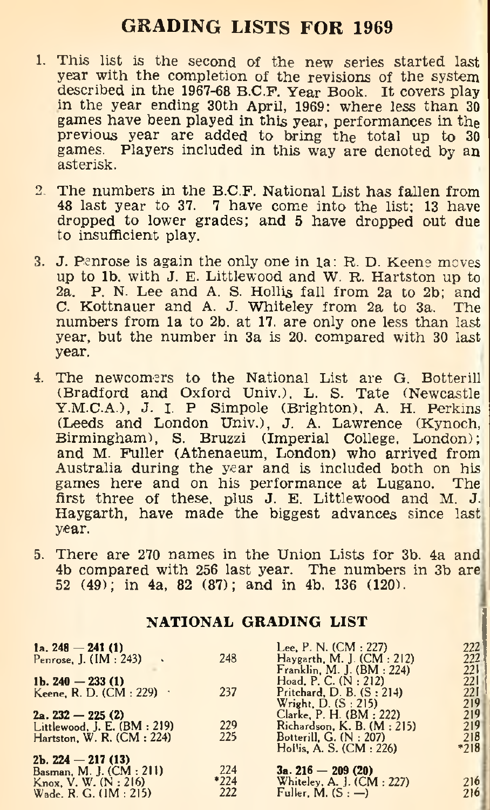# **GRADING LISTS FOR 1969**

- 1. This list is the second of the new series started last<br>year with the completion of the revisions of the system<br>described in the 1967-68 B.C.F. Year Book. It covers play<br>in the year ending 30th April, 1969: where less th
- **2. The numbers in the B.C.F. National List has fallen from 48 last year to 37. 7 have come into the list; 13 have dropped to lower grades; and 5 have dropped out due to insufficient play.**
- 3. J. Penrose is again the only one in  $1a$ : R. D. Keene moves<br>up to 1b, with J. E. Littlewood and W. R. Hartston up to<br>2a. P. N. Lee and A. S. Hollis fall from 2a to 2b; and<br>C. Kottnauer and A. J. Whiteley from 2a to 3a. **year.**
- 4. The newcomers to the National List are G. Botterill<br>
(Bradford and Oxford Univ.), L. S. Tate (Newcastle<br>
Y.M.C.A.), J. I. P. Simpole (Brighton), A. H. Perkins<br>
(Leeds and London Univ.), J. A. Lawrence (Kynoch,<br>
Birming **year.**
- **5. There are 270 names in the Union Lists for 3b, 4a and 4b compared with 256 last year. The numbers in 3b are 52 (49); in 4a, 82 (87); and in 4b. 136 (120).**

#### N A TIONAL GRADING LIST

| 1a. $248 - 241(1)$                 |      | Lee, P. N. (CM : 227)      | 222    |
|------------------------------------|------|----------------------------|--------|
| Penrose, J. (IM: 243)              | 248  | Haygarth, M. J. (CM : 212) | 222    |
|                                    |      | Franklin, M. J. (BM: 224)  | 221    |
| 1b. $240 - 233(1)$                 |      | Hoad, P. C. $(N:212)$      | 221    |
| Keene, R. D. $(CM : 229)$          | 237  | Pritchard, D. B. (S: 214)  | 221    |
|                                    |      | Wright, D. (S: 215)        | 219    |
| $2a.232 - 225(2)$                  |      | Clarke, P. H. (BM : 222)   | 219    |
| Littlewood, J. E. (BM: 219)        | 229  | Richardson, K, B, (M:215)  | 219    |
| Hartston, W. R. $(CM: 224)$        | 225  | Botterill, G. (N : 207)    | 218    |
|                                    |      | Hollis, A. S. (CM : 226)   | $*218$ |
| $2b$ , 224 - 217 (13)              |      |                            |        |
| Basman, M. J. (CM : 211)           | 224  | $3a. 216 - 209(20)$        |        |
| $K_{\text{now}}$ , V. W. $(N:216)$ | *224 | Whiteley, A. J. (CM: 227)  | 216    |
| Wade, R. G. (1M : 215)             | 222  | Fuller, M. (S : —)         | 216    |
|                                    |      |                            |        |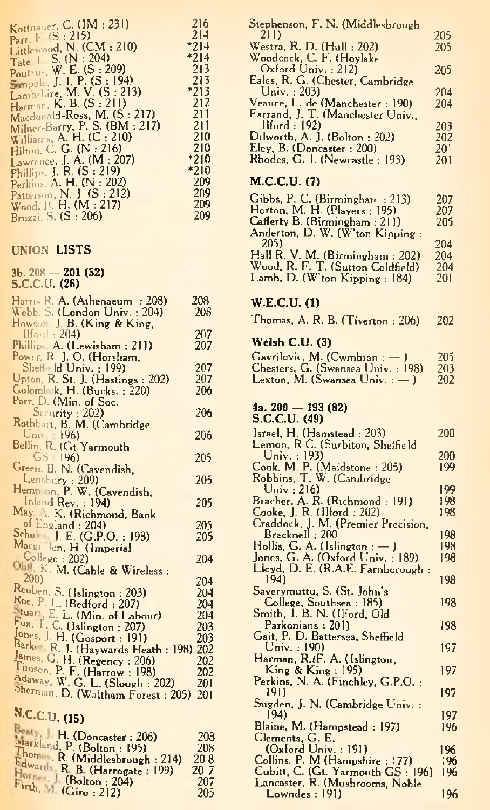| Kottnauer, C. (IM: 231)                                   | 216           |
|-----------------------------------------------------------|---------------|
| Parr, $F(S:215)$<br>Littlewood, N. (CM: 210)              | 214<br>$*214$ |
| Tate $1 \text{ S.} (N : 204)$<br>Poutrus, W. E. (S: 209)  | $*214$<br>213 |
| Smpole, J. I. P. (S: 194)                                 | 213           |
| Lambshire, M. V. (S : 213)<br>Harman, K. B. (S : 211)     | $*213$<br>212 |
| Macdonald-Ross, M. (S: 217)                               | 211           |
| Milner-Barry, P. S. (BM: 217)<br>Williams, A. H. (C: 210) | 211<br>210    |
| Hilton, C. G. (N: 216)                                    | 210<br>$*210$ |
| Lawrence, J. A. $(M:207)$<br>Phillips, J. R. (S : 219)    | $*210$        |
| Perkins. A. H. (N: 202)<br>Patterson, N. J. (S : 212)     | 209<br>209    |
| Wood, B. H. (M : 217)                                     | 209           |
| Bruzzi, S. (S: 206)                                       | 209           |

#### UNION LISTS

# 3b. 208 — 201 (52) S.C.C.U. (26)

| Harris R. A. (Athenaeum : 208)                                                                  | 208        |
|-------------------------------------------------------------------------------------------------|------------|
| Webb, S. (London Univ. : 204)                                                                   | 208        |
| Howson, J. B. (King & King,<br>Ilford: 204)                                                     | 207        |
| Phillips, A. (Lewisham: 211)                                                                    | 207        |
| Power, R. J. O. (Horsham.                                                                       |            |
| Sheff Id Univ. ; 199)                                                                           | 207<br>207 |
| Upton, R. St. J. (Hastings: 202)<br>Golomi k, H. (Bucks.: 220)                                  | 206        |
| Parr, D. (Min. of Soc.                                                                          |            |
| Security : 202)                                                                                 | 206        |
| Rothbart, B. M. (Cambridge<br>$Univ = 196$                                                      | 206        |
| Bellin, R. (Gt Yarmouth                                                                         |            |
| $GS$ 196)                                                                                       | 205        |
| Green. B. N. (Cavendish,                                                                        |            |
| Lensbury: 209)<br>Hemp on, P. W. (Cavendish,                                                    | 205        |
| Inland Rev. : 194)                                                                              | 205        |
| May, A. K. (Richmond, Bank                                                                      |            |
| of England : 204)                                                                               | 205        |
| Schol J. E. (G.P.O. : 198)<br>Macgollen, H. (Imperial                                           | 205        |
| College : 202                                                                                   | 204        |
| Ohil K. M. (Cable & Wireless:                                                                   |            |
| 200)                                                                                            | 204        |
| Reuben, S. (Islington: 203)<br>Roe, P. L. (Bedford: 207)                                        | 204<br>204 |
| tuart, E. L. (Min. of Labour)                                                                   | 204        |
| Fox, T. C. (Islington: 207)                                                                     | 203        |
| Jones, J. H. (Gosport : 191)                                                                    | 203        |
| Bark R. J. (Haywards Heath: 198)                                                                | 202<br>202 |
| James, G. H. (Regency : 206)<br>Timson, P. F. (Harrow : 198)<br>Adaway, W. G. L. (Slough : 202) | 202        |
|                                                                                                 | 201        |
| Sherman, D. (Waltham Forest: 205)                                                               | 201        |
| <b>Barrier</b>                                                                                  |            |

### N.C.C.U. **(15)**

| Beaty, H. (Doncaster: 206)                                                                                                   | 208  |
|------------------------------------------------------------------------------------------------------------------------------|------|
|                                                                                                                              | 208  |
|                                                                                                                              | 208  |
| Markland, P. (Bolton : 195)<br>Thomas, R. (Middlesbrough : 214)<br>Edward R. B. (Harrogate : 199)<br>Horne: 1 (Bolton : 204) | 20 7 |
|                                                                                                                              | 207  |
| Firth, M. (Giro: 212)                                                                                                        | 205  |

| Stephenson, F. N. (Middlesbrough                                                                                |     |
|-----------------------------------------------------------------------------------------------------------------|-----|
| 21D                                                                                                             | 205 |
| Westra, R. D. (Hull: 202)                                                                                       | 205 |
|                                                                                                                 |     |
| Woodcock, C. F. (Hoylake                                                                                        |     |
| $Ox$ ford $Univ. : 212$                                                                                         | 205 |
| Eales, R. G. (Chester, Cambridge                                                                                |     |
| Univ.: $203$                                                                                                    | 204 |
|                                                                                                                 |     |
| Veauce, L. de (Manchester: 190)                                                                                 | 204 |
| Farrand, J. T. (Manchester Univ.,                                                                               |     |
| llford: 192                                                                                                     | 203 |
| Dilworth, A. J. (Bolton: 202)                                                                                   | 202 |
|                                                                                                                 |     |
| Eley, B. (Doncaster: 200)                                                                                       | 201 |
| Rhodes, G. I. (Newcastle: 193)                                                                                  | 201 |
|                                                                                                                 |     |
| M.C.C.U. (7)                                                                                                    |     |
|                                                                                                                 |     |
| Gibbs, P. C. (Birminghar: 213)                                                                                  | 207 |
| Horton, M. H. (Players: 195)                                                                                    | 207 |
|                                                                                                                 |     |
| Cafferty B. (Birmingham: 211)                                                                                   | 205 |
| $\mathbf{A}$ and $\mathbf{B}$ and $\mathbf{B}$ and $\mathbf{B}$ and $\mathbf{B}$ are associated as $\mathbf{B}$ |     |

| Gibbs, P. C. (Birminghar, : 213)  | 207 |
|-----------------------------------|-----|
| Horton, M. H. (Players: 195)      | 207 |
| Cafferty B. (Birmingham: 211)     | 205 |
| Anderton, D. W. (W'ton Kipping:   |     |
| 205)                              | 204 |
| Hall R. V. M. (Birmingham: 202)   | 204 |
| Wood, R. F. T. (Sutton Coldfield) | 204 |
| Lamb, D. (W'ton Kipping: 184)     | 201 |
|                                   |     |

#### **W.E.C.U. (1)**

|  |  |  |  | Thomas, A. R. B. (Tiverton : 206) 202 |  |  |  |
|--|--|--|--|---------------------------------------|--|--|--|
|--|--|--|--|---------------------------------------|--|--|--|

#### **Welsh C.U. (3)**

| Gavrilovic, M. $(Cwmbran :=)$     | 205 |
|-----------------------------------|-----|
| Chesters. G. (Swansea Univ.: 198) | 203 |
| Lexton, M. (Swansea $Univ. :=$ )  | 202 |

# **4a. 200 — 193 (82) S.C.C.U. (49)**

| Lemon, R C. (Surbiton, Sheffield<br>Univ.: 193)<br>Cook, M. P. (Maidstone: 205)<br>Robbins, T. W. (Cambridge<br>Univ:216<br>Bracher, A. R. (Richmond: 191)<br>Cooke, J. R. (Ilford: 202)<br>Craddock, J. M. (Premier Precision,<br>Bracknell : 200<br>Hollis, G. A. $($ lslington : $-$ ) | 200  |
|-------------------------------------------------------------------------------------------------------------------------------------------------------------------------------------------------------------------------------------------------------------------------------------------|------|
|                                                                                                                                                                                                                                                                                           |      |
|                                                                                                                                                                                                                                                                                           | 200  |
|                                                                                                                                                                                                                                                                                           | 199  |
|                                                                                                                                                                                                                                                                                           |      |
|                                                                                                                                                                                                                                                                                           | 199  |
|                                                                                                                                                                                                                                                                                           | 198  |
|                                                                                                                                                                                                                                                                                           | 198  |
|                                                                                                                                                                                                                                                                                           |      |
|                                                                                                                                                                                                                                                                                           | 198  |
|                                                                                                                                                                                                                                                                                           | 198  |
|                                                                                                                                                                                                                                                                                           |      |
| Jones, G. A. (Oxford Univ.: 189)                                                                                                                                                                                                                                                          | 198  |
| Lloyd, D. E. (R.A.E. Farnborough:                                                                                                                                                                                                                                                         |      |
| 194)                                                                                                                                                                                                                                                                                      | 198  |
| Saverymuttu, S. (St. John's                                                                                                                                                                                                                                                               |      |
| College, Southsea: 185)                                                                                                                                                                                                                                                                   | 198  |
| Smith, I. B. N. (Ilford, Old                                                                                                                                                                                                                                                              |      |
| Parkonians : 201)                                                                                                                                                                                                                                                                         | 198  |
| Gait, P. D. Battersea, Sheffield                                                                                                                                                                                                                                                          |      |
| Univ.: 190)                                                                                                                                                                                                                                                                               | 197  |
| Harman, R.tF. A. (Islington,                                                                                                                                                                                                                                                              |      |
| King & King : 195                                                                                                                                                                                                                                                                         | 197  |
| Perkins, N. A. (Finchley, G.P.O.:                                                                                                                                                                                                                                                         |      |
| 191)                                                                                                                                                                                                                                                                                      | 197  |
| Sugden, J. N. (Cambridge Univ. :                                                                                                                                                                                                                                                          |      |
| (94)                                                                                                                                                                                                                                                                                      | 197  |
| Blaine, M. (Hampstead: 197)                                                                                                                                                                                                                                                               | 196  |
|                                                                                                                                                                                                                                                                                           |      |
| Clements, G. E.                                                                                                                                                                                                                                                                           |      |
| (Oxford Univ. : 191)                                                                                                                                                                                                                                                                      | 196  |
| Collins, P. M (Hampshire: 177)                                                                                                                                                                                                                                                            | : 96 |
| Cubitt, C. (Gt. Yarmouth GS: 196)                                                                                                                                                                                                                                                         | 196  |
| Lancaster, R. (Mushrooms, Noble                                                                                                                                                                                                                                                           |      |
| Lowndes : 191                                                                                                                                                                                                                                                                             | 196  |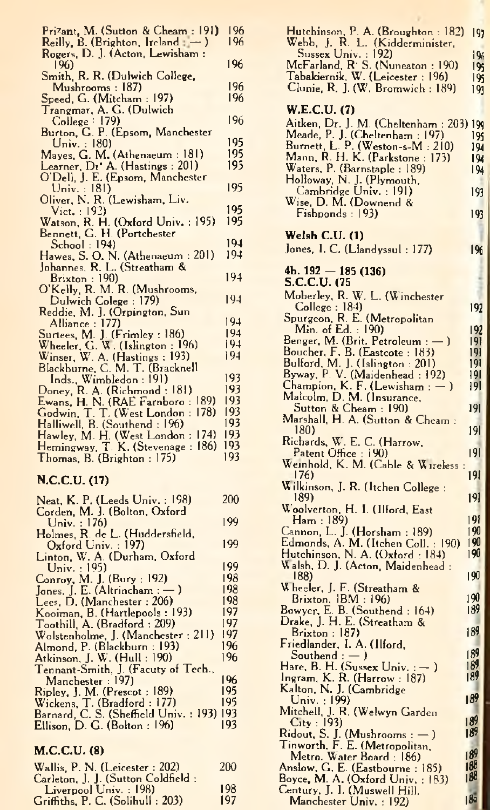| Prizant, M. (Sutton & Cheam: 191)                                    | 196      |
|----------------------------------------------------------------------|----------|
| Reilly, B. (Brighton, Ireland $-$ )                                  | 196      |
| Rogers, D. J. (Acton, Lewisham:                                      |          |
| 196)                                                                 | 196      |
| Smith, R. R. (Dulwich College,                                       |          |
| Mushrooms : 187)                                                     | 196      |
| Speed, G. (Mitcham : 197)                                            | 196      |
| Trangmar, A. G. (Dulwich                                             |          |
| College : 179                                                        | 196      |
| Burton, G. P. (Epsom, Manchester                                     |          |
|                                                                      | 195      |
| Univ. : 180<br>Mayes, G. M. (Athenaeum: 181)                         | 195      |
|                                                                      | 195      |
| Learner, Dr' A. (Hastings: 201)                                      |          |
| O'Dell, J. E. (Epsom, Manchester                                     | 195      |
| Univ.: 181)                                                          |          |
| Oliver, N. R. (Lewisham, Liv.                                        | 195      |
| Vict. : 192)                                                         |          |
| Watson, R. H. (Oxford Univ.: 195)                                    | 195      |
| Bennett, G. H. (Portchester                                          |          |
| School: 194)                                                         | $19 - 1$ |
| Hawes, S. O. N. (Athenaeum: 201)                                     | 194      |
| Johannes, R. L. (Streatham &                                         |          |
| Brixton: 190)                                                        | 194      |
| O'Kelly, R. M. R. (Mushrooms,                                        |          |
| Dulwich Colege: 179)                                                 | 194      |
| Reddie, M. J. (Orpington, Sun                                        |          |
| Alliance : 177)<br>Surtees, M. J. (Frimley : 186)                    | 194      |
|                                                                      | 194      |
| Wheeler, G. W. (Islington: 196)                                      | 194      |
| Winser, W. A. (Hastings: 193)                                        | 194      |
| Blackburne, C. M. T. (Bracknell                                      |          |
| Inds., Wimbledon : 191)                                              | 193      |
| Doney, R. A. (Richmond: 181)                                         | 193      |
| 189)                                                                 | 193      |
| Ewans, H. N. (RAE Farnboro :<br>Godwin, T. T. (West London :<br>178) | 193      |
| Halliwell, B. (Southend: 196)                                        | 193      |
| 174)<br>Hawley, M. H. (West London:                                  | 193      |
| Hemingway, T. K. (Stevenage:<br>186)                                 | 193      |
| Thomas, B. (Brighton: 175)                                           | 193      |
|                                                                      |          |
| N.C.C.U. (17)                                                        |          |
|                                                                      |          |
| Neat, K. P. (Leeds Univ. : 198)                                      | 200      |
| Corden, M. J. (Bolton, Oxford                                        |          |
| Univ.: 176)                                                          | 199      |
| Holmes, R. de L. (Huddersfield,                                      |          |
| Oxford Univ.: 197)                                                   | 199      |
| $I_{\text{inter}}$ W $A$ (Durban Oxford)                             |          |

| Neat, K. P. (Leeds Univ.: 198)         | 200 |
|----------------------------------------|-----|
| Corden, M. J. (Bolton, Oxford          |     |
| Univ. : $176$ )                        | 199 |
| Holmes, R. de L. (Huddersfield,        |     |
| Oxford Univ.: 197)                     | 199 |
| Linton, W. A. (Durham, Oxford          |     |
| Univ.: $195$                           | 199 |
| Conroy, M. J. (Bury: 192)              | 198 |
| Jones, J. E. (Altrincham : $-$ )       | 198 |
| Lees, D. (Manchester: 206)             | 198 |
| Kooiman, B. (Hartlepools: 193)         | 197 |
| Toothill, A. (Bradford: 209)           | 197 |
| Wolstenholme, J. (Manchester: 211)     | 197 |
| Almond, P. (Blackburn : 193)           | 196 |
| Atkinson, J. W. (Hull: 190)            | 196 |
| Tennant-Smith, J. (Facuty of Tech.,    |     |
| Manchester: 197)                       | 196 |
| Ripley, J. M. (Prescot: 189)           | 195 |
| Wickens, T. (Bradford: 177)            | 195 |
| Barnard, C. S. (Sheffield Univ. : 193) | 193 |
| Ellison, D. G. (Bolton : 196)          | 193 |
|                                        |     |

## **M.C.C.U. (8)**

| Wallis, P. N. (Leicester: 202)                              | 200 |
|-------------------------------------------------------------|-----|
| Carleton, J. J. (Sutton Coldfield:<br>Liverpool Univ.: 198) | 198 |
|                                                             |     |
| Griffiths, P. C. (Solihull: 203)                            | 197 |

|                                                                                                                                                                                                                                                           | 197               |
|-----------------------------------------------------------------------------------------------------------------------------------------------------------------------------------------------------------------------------------------------------------|-------------------|
| Hutchinson, P. A. (Broughton : 182)<br>Webb, J. R. L. (Kidderminister,<br>Sussex Univ. : 192)<br>McFarland, R. S. (Nuneaton : 190)<br>Tabakiernik, W. (Leicester : 196)<br>Clunie, R. J. (W. Bromwich : 189)                                              | 196<br>195<br>195 |
| W.E.C.U. (7)                                                                                                                                                                                                                                              | 191               |
|                                                                                                                                                                                                                                                           |                   |
|                                                                                                                                                                                                                                                           |                   |
| Wincolor, U. M. (Cheltenham : 203) 199<br>Meade, P. J. (Cheltenham : 197)<br>Burnett, L. P. (Weston-s-M. 210) 199<br>Burnett, L. P. (Weston-s-M. 210) 199<br>Waters, P. (Barnstaple : 189) 199<br>Union-s. P. L. (Plymouth,<br>Cambridge U                |                   |
| Wise, D. M. (Downend &<br>Fishponds: 193)                                                                                                                                                                                                                 | 193               |
| Welsh C.U. (1)                                                                                                                                                                                                                                            |                   |
| Jones, I. C. (Llandyssul: 177)<br>4b. $192 - 185(136)$                                                                                                                                                                                                    | 1%                |
| S.C.C.U. (75                                                                                                                                                                                                                                              |                   |
| Moberley, R. W. L. (Winchester<br>College : 184)<br>Spurgeon, R. E. (Metropolitan<br>Min. of Ed. : 190)                                                                                                                                                   | 192               |
|                                                                                                                                                                                                                                                           |                   |
| Min. of Ed. (1907)<br>Benger, M. (Brit. Petroleum : ----)<br>Boucher, F. B. (Eastcote : 183)<br>Bulford, M. J. (Islington : 201)<br>Byway, P. V. (Maidenhead : 192)<br>Champion, K. F. (Lewisham : ---)<br>Matcolin, D. M. (Insurance,<br>Sutton &        | 192<br> 9         |
|                                                                                                                                                                                                                                                           | 191               |
|                                                                                                                                                                                                                                                           | 191<br> 9         |
|                                                                                                                                                                                                                                                           | 191               |
|                                                                                                                                                                                                                                                           |                   |
|                                                                                                                                                                                                                                                           | 191               |
| 180)                                                                                                                                                                                                                                                      | 19                |
| Richards, W. E. C. (Harrow,<br>Patent Office: 190)                                                                                                                                                                                                        | 9                 |
| Weinhold, K. M. (Cable & Wireless :<br>176)                                                                                                                                                                                                               | 191               |
| Wilkinson, J. R. (Itchen College :<br>189)                                                                                                                                                                                                                | 191               |
|                                                                                                                                                                                                                                                           | 9                 |
|                                                                                                                                                                                                                                                           | 190               |
| Edmonds, A. M. (Itchen Coll. : 190)                                                                                                                                                                                                                       | 190<br>190        |
| Hutchinson, N. A. (Oxford : 184)<br>Walsh, D. J. (Acton, Maidenhead :<br>188)                                                                                                                                                                             | 190               |
| Volger, J. F. (Streatham &<br>Brixton, IBM : 196)<br>Bowyer, E. B. (Southend : 164)<br>Drake, J. H. E. (Streatham &<br>Existend : 187)<br>Existend : A. (IIt.-1                                                                                           |                   |
|                                                                                                                                                                                                                                                           | 190<br>189        |
|                                                                                                                                                                                                                                                           |                   |
| Brixton : 187)<br>Friedlander, I. A. (Hord,<br>Southend : --)<br>Ingram, K. R. (Sussex Univ. : ---)<br>Ingram, K. R. (Harrow : 187)<br>Kalton, N. J. (Cambridge<br>Mitchell, J. R. (Welwyn Garden<br>City : 193)<br>Mitchell, J. R. (Welwyn Garden<br>Cit | 189               |
|                                                                                                                                                                                                                                                           | 189               |
|                                                                                                                                                                                                                                                           | 189<br>189        |
|                                                                                                                                                                                                                                                           |                   |
|                                                                                                                                                                                                                                                           | 189               |
|                                                                                                                                                                                                                                                           | 189               |
|                                                                                                                                                                                                                                                           | 189               |
|                                                                                                                                                                                                                                                           | 189               |
|                                                                                                                                                                                                                                                           | 188               |
|                                                                                                                                                                                                                                                           |                   |
|                                                                                                                                                                                                                                                           | 18a               |